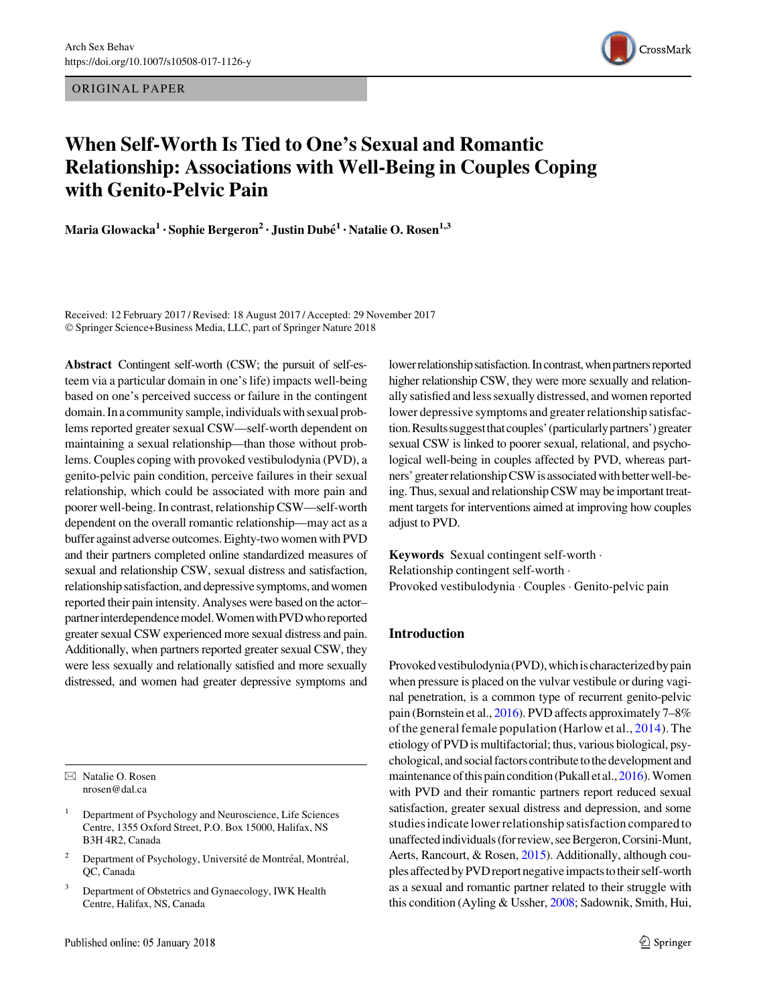ORIGINAL PAPER



# When Self-Worth Is Tied to One's Sexual and Romantic Relationship: Associations with Well-Being in Couples Coping with Genito-Pelvic Pain

Maria Glowacka $^1\cdot$ Sophie Bergeron $^2\cdot$  Justin Dubé $^1\cdot$ Natalie O. Rosen $^{1,3}$ 

Received: 12 February 2017 / Revised: 18 August 2017 / Accepted: 29 November 2017 - Springer Science+Business Media, LLC, part of Springer Nature 2018

Abstract Contingent self-worth (CSW; the pursuit of self-esteem via a particular domain in one's life) impacts well-being based on one's perceived success or failure in the contingent domain. In a community sample, individuals with sexual problems reported greater sexual CSW—self-worth dependent on maintaining a sexual relationship—than those without problems. Couples coping with provoked vestibulodynia (PVD), a genito-pelvic pain condition, perceive failures in their sexual relationship, which could be associated with more pain and poorer well-being. In contrast, relationship CSW—self-worth dependent on the overall romantic relationship—may act as a buffer against adverse outcomes. Eighty-two women with PVD and their partners completed online standardized measures of sexual and relationship CSW, sexual distress and satisfaction, relationship satisfaction, and depressive symptoms, and women reported their pain intensity. Analyses were based on the actor– partner interdependence model. Women with PVD who reported greater sexual CSW experienced more sexual distress and pain. Additionally, when partners reported greater sexual CSW, they were less sexually and relationally satisfied and more sexually distressed, and women had greater depressive symptoms and

 $\boxtimes$  Natalie O. Rosen nrosen@dal.ca

lower relationship satisfaction. In contrast, when partners reported higher relationship CSW, they were more sexually and relationally satisfied and less sexually distressed, and women reported lower depressive symptoms and greater relationship satisfaction.Resultssuggestthatcouples'(particularlypartners')greater sexual CSW is linked to poorer sexual, relational, and psychological well-being in couples affected by PVD, whereas partners' greater relationship CSW is associated with betterwell-being. Thus, sexual and relationship CSW may be important treatment targets for interventions aimed at improving how couples adjust to PVD.

Keywords Sexual contingent self-worth - Relationship contingent self-worth - Provoked vestibulodynia · Couples · Genito-pelvic pain

# Introduction

Provoked vestibulodynia (PVD), which is characterized by pain when pressure is placed on the vulvar vestibule or during vaginal penetration, is a common type of recurrent genito-pelvic pain (Bornstein et al., [2016](#page-10-0)). PVD affects approximately 7–8% of the general female population (Harlow et al., [2014\)](#page-11-0). The etiology of PVD is multifactorial; thus, various biological, psychological, and social factors contribute to the development and maintenance of this pain condition (Pukall et al., [2016](#page-11-0)). Women with PVD and their romantic partners report reduced sexual satisfaction, greater sexual distress and depression, and some studiesindicate lower relationshipsatisfaction compared to unaffectedindividuals(forreview,seeBergeron,Corsini-Munt, Aerts, Rancourt, & Rosen, [2015\)](#page-10-0). Additionally, although couples affected by PVD report negative impacts to their self-worth as a sexual and romantic partner related to their struggle with this condition (Ayling & Ussher, [2008](#page-10-0); Sadownik, Smith, Hui,

<sup>&</sup>lt;sup>1</sup> Department of Psychology and Neuroscience, Life Sciences Centre, 1355 Oxford Street, P.O. Box 15000, Halifax, NS B3H 4R2, Canada

<sup>&</sup>lt;sup>2</sup> Department of Psychology, Université de Montréal, Montréal, QC, Canada

<sup>&</sup>lt;sup>3</sup> Department of Obstetrics and Gynaecology, IWK Health Centre, Halifax, NS, Canada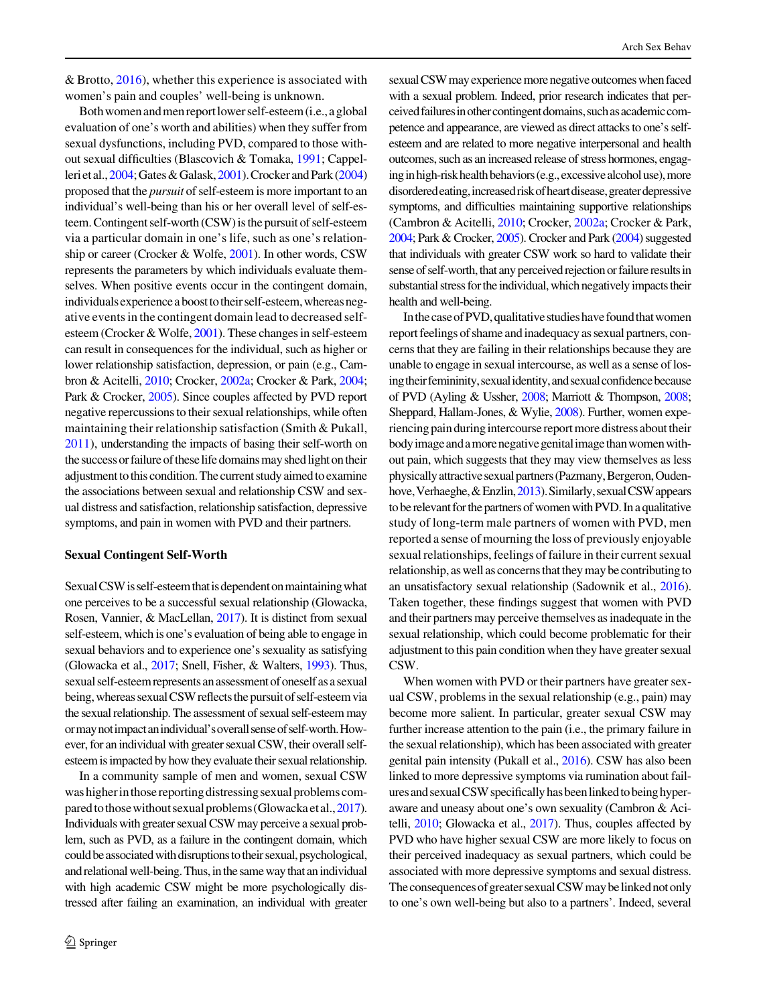& Brotto, [2016\)](#page-12-0), whether this experience is associated with women's pain and couples' well-being is unknown.

Bothwomenandmenreportlowerself-esteem(i.e.,aglobal evaluation of one's worth and abilities) when they suffer from sexual dysfunctions, including PVD, compared to those without sexual difficulties (Blascovich & Tomaka, [1991;](#page-10-0) Cappellerietal.,[2004](#page-10-0);Gates&Galask,[2001\)](#page-11-0).CrockerandPark([2004\)](#page-10-0) proposed that the pursuit of self-esteem is more important to an individual's well-being than his or her overall level of self-esteem. Contingent self-worth (CSW) is the pursuit of self-esteem via a particular domain in one's life, such as one's relationship or career (Crocker & Wolfe, [2001\)](#page-11-0). In other words, CSW represents the parameters by which individuals evaluate themselves. When positive events occur in the contingent domain, individuals experience a boost to their self-esteem, whereas negative events in the contingent domain lead to decreased selfesteem (Crocker & Wolfe, [2001\)](#page-11-0). These changes in self-esteem can result in consequences for the individual, such as higher or lower relationship satisfaction, depression, or pain (e.g., Cambron & Acitelli, [2010](#page-10-0); Crocker, [2002a](#page-10-0); Crocker & Park, [2004](#page-10-0); Park & Crocker, [2005\)](#page-11-0). Since couples affected by PVD report negative repercussions to their sexual relationships, while often maintaining their relationship satisfaction (Smith & Pukall, [2011\)](#page-12-0), understanding the impacts of basing their self-worth on the success or failure of these life domains may shed light on their adjustment to this condition. The current study aimed to examine the associations between sexual and relationship CSW and sexual distress and satisfaction, relationship satisfaction, depressive symptoms, and pain in women with PVD and their partners.

#### Sexual Contingent Self-Worth

Sexual CSW is self-esteem that is dependent on maintaining what one perceives to be a successful sexual relationship (Glowacka, Rosen, Vannier, & MacLellan, [2017](#page-11-0)). It is distinct from sexual self-esteem, which is one's evaluation of being able to engage in sexual behaviors and to experience one's sexuality as satisfying (Glowacka et al., [2017;](#page-11-0) Snell, Fisher, & Walters, [1993\)](#page-12-0). Thus, sexual self-esteem represents an assessment of oneself as a sexual being, whereas sexual CSW reflects the pursuit of self-esteem via the sexual relationship. The assessment of sexual self-esteem may ormaynotimpactanindividual'soverallsenseofself-worth.However, for an individual with greater sexual CSW, their overall selfesteem is impacted by how they evaluate their sexual relationship.

In a community sample of men and women, sexual CSW was higher in those reporting distressing sexual problems com-pared to those without sexual problems (Glowacka et al., [2017\)](#page-11-0). Individuals with greater sexual CSW may perceive a sexual problem, such as PVD, as a failure in the contingent domain, which could be associated with disruptions to their sexual, psychological, and relational well-being. Thus, in the same way that an individual with high academic CSW might be more psychologically distressed after failing an examination, an individual with greater sexual CSW may experience more negative outcomes when faced with a sexual problem. Indeed, prior research indicates that perceived failures in other contingent domains, such as academic competence and appearance, are viewed as direct attacks to one's selfesteem and are related to more negative interpersonal and health outcomes, such as an increased release of stress hormones, engaging in high-risk health behaviors (e.g., excessive alcoholuse), more disordered eating, increased risk of heart disease, greater depressive symptoms, and difficulties maintaining supportive relationships (Cambron & Acitelli, [2010](#page-10-0); Crocker, [2002a;](#page-10-0) Crocker & Park, [2004;](#page-10-0) Park & Crocker, [2005](#page-11-0)). Crocker and Park ([2004](#page-10-0)) suggested that individuals with greater CSW work so hard to validate their sense of self-worth, that any perceived rejection or failure results in substantial stress for the individual, which negatively impacts their health and well-being.

In the case of PVD, qualitative studies have found that women report feelings of shame and inadequacy as sexual partners, concerns that they are failing in their relationships because they are unable to engage in sexual intercourse, as well as a sense of losing their femininity, sexual identity, and sexual confidence because of PVD (Ayling & Ussher, [2008](#page-10-0); Marriott & Thompson, [2008](#page-11-0); Sheppard, Hallam-Jones, & Wylie, [2008](#page-12-0)). Further, women experiencing pain during intercourse reportmore distressabout their body image and a more negative genital image than women without pain, which suggests that they may view themselves as less physically attractive sexual partners (Pazmany, Bergeron, Ouden-hove, Verhaeghe, & Enzlin, [2013\)](#page-11-0). Similarly, sexual CSW appears to be relevant for the partners of women with PVD. In a qualitative study of long-term male partners of women with PVD, men reported a sense of mourning the loss of previously enjoyable sexual relationships, feelings of failure in their current sexual relationship, as well as concerns that they may be contributing to an unsatisfactory sexual relationship (Sadownik et al., [2016\)](#page-12-0). Taken together, these findings suggest that women with PVD and their partners may perceive themselves as inadequate in the sexual relationship, which could become problematic for their adjustment to this pain condition when they have greater sexual CSW.

When women with PVD or their partners have greater sexual CSW, problems in the sexual relationship (e.g., pain) may become more salient. In particular, greater sexual CSW may further increase attention to the pain (i.e., the primary failure in the sexual relationship), which has been associated with greater genital pain intensity (Pukall et al., [2016](#page-11-0)). CSW has also been linked to more depressive symptoms via rumination about failures and sexual CSW specifically has been linked to being hyperaware and uneasy about one's own sexuality (Cambron & Acitelli, [2010](#page-10-0); Glowacka et al., [2017\)](#page-11-0). Thus, couples affected by PVD who have higher sexual CSW are more likely to focus on their perceived inadequacy as sexual partners, which could be associated with more depressive symptoms and sexual distress. The consequences of greater sexual CSW may be linked not only to one's own well-being but also to a partners'. Indeed, several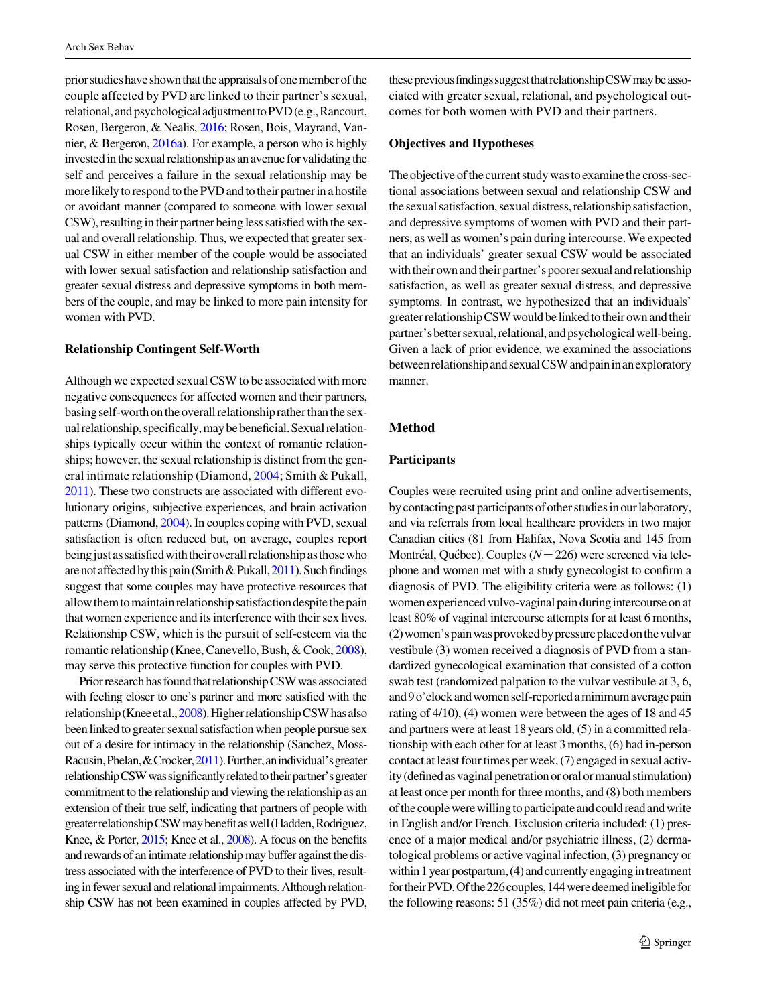priorstudieshaveshownthattheappraisalsofonememberofthe couple affected by PVD are linked to their partner's sexual, relational, and psychological adjustment to PVD(e.g., Rancourt, Rosen, Bergeron, & Nealis, [2016](#page-11-0); Rosen, Bois, Mayrand, Vannier, & Bergeron, [2016a](#page-11-0)). For example, a person who is highly invested in the sexual relationship as an avenue for validating the self and perceives a failure in the sexual relationship may be more likely to respond to the PVD and to their partner in a hostile or avoidant manner (compared to someone with lower sexual CSW), resulting in their partner being less satisfied with the sexual and overall relationship. Thus, we expected that greater sexual CSW in either member of the couple would be associated with lower sexual satisfaction and relationship satisfaction and greater sexual distress and depressive symptoms in both members of the couple, and may be linked to more pain intensity for women with PVD.

#### Relationship Contingent Self-Worth

Although we expected sexual CSW to be associated with more negative consequences for affected women and their partners, basing self-worth on the overall relationship rather than the sexual relationship, specifically, may be beneficial. Sexual relationships typically occur within the context of romantic relationships; however, the sexual relationship is distinct from the general intimate relationship (Diamond, [2004](#page-11-0); Smith & Pukall, [2011](#page-12-0)). These two constructs are associated with different evolutionary origins, subjective experiences, and brain activation patterns (Diamond, [2004\)](#page-11-0). In couples coping with PVD, sexual satisfaction is often reduced but, on average, couples report being just as satisfied with their overall relationship as those who are not affected by this pain (Smith & Pukall,  $2011$ ). Such findings suggest that some couples may have protective resources that allow them to maintain relationship satisfaction despite the pain that women experience and its interference with their sex lives. Relationship CSW, which is the pursuit of self-esteem via the romantic relationship (Knee, Canevello, Bush, & Cook, [2008](#page-11-0)), may serve this protective function for couples with PVD.

Prior research has found that relationship CSW was associated with feeling closer to one's partner and more satisfied with the relationship (Knee et al., [2008](#page-11-0)). Higher relationship CSW has also been linked to greater sexual satisfaction when people pursue sex out of a desire for intimacy in the relationship (Sanchez, Moss-Racusin, Phelan, & Crocker, [2011](#page-12-0)). Further, an individual's greater relationship CSW was significantly related to their partner's greater commitment to the relationship and viewing the relationship as an extension of their true self, indicating that partners of people with greaterrelationshipCSWmaybenefitaswell(Hadden,Rodriguez, Knee, & Porter, [2015;](#page-11-0) Knee et al., [2008\)](#page-11-0). A focus on the benefits and rewards of an intimate relationship may buffer against the distress associated with the interference of PVD to their lives, resulting in fewer sexual and relational impairments. Although relationship CSW has not been examined in couples affected by PVD, these previous findings suggest that relationship CSW may be associated with greater sexual, relational, and psychological outcomes for both women with PVD and their partners.

# Objectives and Hypotheses

The objective of the current study was to examine the cross-sectional associations between sexual and relationship CSW and the sexual satisfaction, sexual distress, relationship satisfaction, and depressive symptoms of women with PVD and their partners, as well as women's pain during intercourse. We expected that an individuals' greater sexual CSW would be associated with their own and their partner's poorer sexual and relationship satisfaction, as well as greater sexual distress, and depressive symptoms. In contrast, we hypothesized that an individuals' greater relationship CSW would be linked to their own and their partner's better sexual, relational, and psychological well-being. Given a lack of prior evidence, we examined the associations between relationship and sexual CSW and pain in an exploratory manner.

# Method

#### Participants

Couples were recruited using print and online advertisements, by contacting past participants of other studies in our laboratory, and via referrals from local healthcare providers in two major Canadian cities (81 from Halifax, Nova Scotia and 145 from Montréal, Québec). Couples ( $N=226$ ) were screened via telephone and women met with a study gynecologist to confirm a diagnosis of PVD. The eligibility criteria were as follows: (1) women experienced vulvo-vaginal pain during intercourse on at least 80% of vaginal intercourse attempts for at least 6 months, (2)women'spainwasprovokedbypressureplacedonthevulvar vestibule (3) women received a diagnosis of PVD from a standardized gynecological examination that consisted of a cotton swab test (randomized palpation to the vulvar vestibule at 3, 6, and 9 o'clock and women self-reported a minimum average pain rating of 4/10), (4) women were between the ages of 18 and 45 and partners were at least 18 years old, (5) in a committed relationship with each other for at least 3 months, (6) had in-person contact at least four times per week, (7) engaged in sexual activity (defined as vaginal penetration or oral or manual stimulation) at least once per month for three months, and (8) both members of the couple were willing to participate and could read and write in English and/or French. Exclusion criteria included: (1) presence of a major medical and/or psychiatric illness, (2) dermatological problems or active vaginal infection, (3) pregnancy or within 1 year postpartum, (4) and currently engaging in treatment for their PVD. Of the 226 couples, 144 were deemed ineligible for the following reasons: 51 (35%) did not meet pain criteria (e.g.,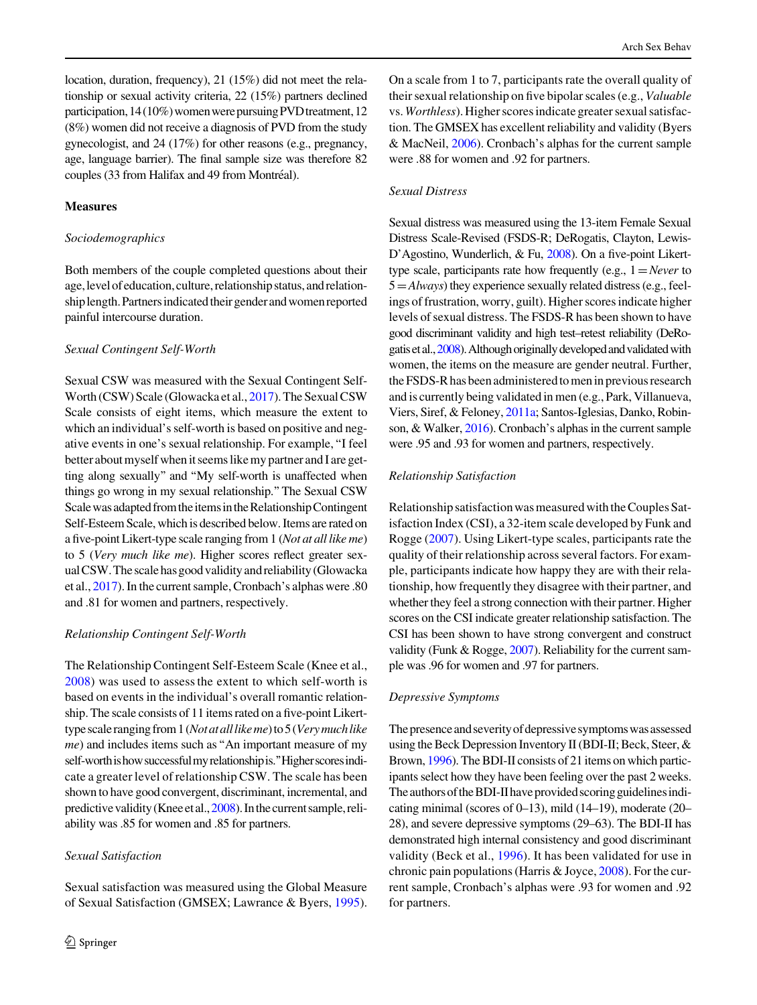location, duration, frequency), 21 (15%) did not meet the relationship or sexual activity criteria, 22 (15%) partners declined participation, 14 (10%) women were pursuing PVD treatment, 12 (8%) women did not receive a diagnosis of PVD from the study gynecologist, and 24 (17%) for other reasons (e.g., pregnancy, age, language barrier). The final sample size was therefore 82 couples (33 from Halifax and 49 from Montréal).

# **Measures**

# Sociodemographics

Both members of the couple completed questions about their age, level of education, culture, relationship status, and relationship length. Partners indicated their gender and women reported painful intercourse duration.

# Sexual Contingent Self-Worth

Sexual CSW was measured with the Sexual Contingent Self-Worth (CSW) Scale (Glowacka et al., [2017\)](#page-11-0). The Sexual CSW Scale consists of eight items, which measure the extent to which an individual's self-worth is based on positive and negative events in one's sexual relationship. For example,''I feel betterabout myself when it seems like my partner and I are getting along sexually'' and ''My self-worth is unaffected when things go wrong in my sexual relationship.'' The Sexual CSW Scale was adapted from the items in the Relationship Contingent Self-Esteem Scale, which is described below. Items are rated on a five-point Likert-type scale ranging from 1 (Not at all like me) to 5 (Very much like me). Higher scores reflect greater sexualCSW.Thescalehasgoodvalidityandreliability(Glowacka et al., [2017](#page-11-0)). In the current sample, Cronbach's alphas were .80 and .81 for women and partners, respectively.

#### Relationship Contingent Self-Worth

The Relationship Contingent Self-Esteem Scale (Knee et al., [2008](#page-11-0)) was used to assess the extent to which self-worth is based on events in the individual's overall romantic relationship. The scale consists of 11 items rated on a five-point Likerttype scale ranging from 1 (*Not at all like me*) to  $5$  (*Very much like* me) and includes items such as''An important measure of my self-worth is how successful my relationship is." Higher scores indicate a greater level of relationship CSW. The scale has been shown to have good convergent, discriminant, incremental, and predictive validity (Knee et al., [2008](#page-11-0)). In the current sample, reliability was .85 for women and .85 for partners.

#### Sexual Satisfaction

On a scale from 1 to 7, participants rate the overall quality of their sexual relationship on five bipolar scales (e.g., Valuable vs. Worthless). Higher scores indicate greater sexual satisfaction. The GMSEX has excellent reliability and validity (Byers & MacNeil, [2006](#page-10-0)). Cronbach's alphas for the current sample were .88 for women and .92 for partners.

#### Sexual Distress

Sexual distress was measured using the 13-item Female Sexual Distress Scale-Revised (FSDS-R; DeRogatis, Clayton, Lewis-D'Agostino, Wunderlich, & Fu, [2008](#page-11-0)). On a five-point Likerttype scale, participants rate how frequently (e.g.,  $1 = Never$  to  $5 = Always$ ) they experience sexually related distress (e.g., feelings of frustration, worry, guilt). Higher scores indicate higher levels of sexual distress. The FSDS-R has been shown to have good discriminant validity and high test–retest reliability (DeRo-gatis et al., [2008](#page-11-0)). Although originally developed and validated with women, the items on the measure are gender neutral. Further, the FSDS-R has been administered to men in previous research and is currently being validated in men (e.g., Park, Villanueva, Viers, Siref, & Feloney, [2011a;](#page-11-0) Santos-Iglesias, Danko, Robinson, & Walker, [2016\)](#page-12-0). Cronbach's alphas in the current sample were .95 and .93 for women and partners, respectively.

# Relationship Satisfaction

Relationship satisfaction was measured with the Couples Satisfaction Index (CSI), a 32-item scale developed by Funk and Rogge [\(2007](#page-11-0)). Using Likert-type scales, participants rate the quality of their relationship across several factors. For example, participants indicate how happy they are with their relationship, how frequently they disagree with their partner, and whether they feel a strong connection with their partner. Higher scores on the CSI indicate greater relationship satisfaction. The CSI has been shown to have strong convergent and construct validity (Funk & Rogge, [2007](#page-11-0)). Reliability for the current sample was .96 for women and .97 for partners.

#### Depressive Symptoms

The presence and severity of depressive symptoms was assessed using the Beck Depression Inventory II (BDI-II; Beck, Steer, & Brown, [1996\)](#page-10-0). The BDI-II consists of 21 items on which participants select how they have been feeling over the past 2 weeks. The authors of the BDI-II have provided scoring guidelines indicating minimal (scores of 0–13), mild (14–19), moderate (20– 28), and severe depressive symptoms (29–63). The BDI-II has demonstrated high internal consistency and good discriminant validity (Beck et al., [1996\)](#page-10-0). It has been validated for use in chronic pain populations (Harris & Joyce, [2008](#page-11-0)). For the current sample, Cronbach's alphas were .93 for women and .92 for partners.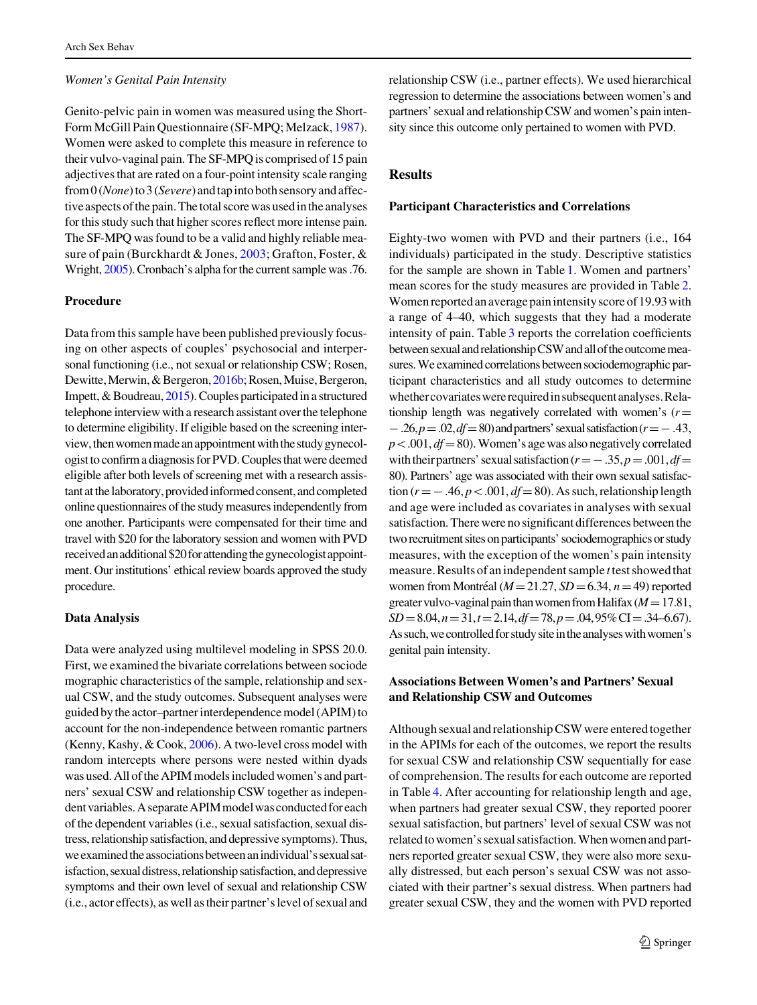#### Women's Genital Pain Intensity

Genito-pelvic pain in women was measured using the Short-Form McGill Pain Questionnaire (SF-MPQ; Melzack, [1987](#page-11-0)). Women were asked to complete this measure in reference to their vulvo-vaginal pain. The SF-MPQ is comprised of 15 pain adjectives that are rated on a four-point intensity scale ranging from  $0$  (None) to  $3$  (Severe) and tap into both sensory and affective aspects of the pain. The total score was used in the analyses for this study such that higher scores reflect more intense pain. The SF-MPQ was found to be a valid and highly reliable measure of pain (Burckhardt & Jones, [2003;](#page-10-0) Grafton, Foster, & Wright, [2005\)](#page-11-0). Cronbach's alpha for the current sample was .76.

# Procedure

Data from this sample have been published previously focusing on other aspects of couples' psychosocial and interpersonal functioning (i.e., not sexual or relationship CSW; Rosen, Dewitte, Merwin, & Bergeron, [2016b;](#page-12-0) Rosen, Muise, Bergeron, Impett, & Boudreau, [2015](#page-12-0)). Couples participated in a structured telephone interview with a research assistant over the telephone to determine eligibility. If eligible based on the screening interview, then women made an appointment with the study gynecologist to confirm a diagnosis for PVD. Couples that were deemed eligible after both levels of screening met with a research assistant at the laboratory, provided informed consent, and completed online questionnaires of the study measures independently from one another. Participants were compensated for their time and travel with \$20 for the laboratory session and women with PVD received an additional \$20 for attending the gynecologist appointment. Our institutions' ethical review boards approved the study procedure.

#### Data Analysis

Data were analyzed using multilevel modeling in SPSS 20.0. First, we examined the bivariate correlations between sociode mographic characteristics of the sample, relationship and sexual CSW, and the study outcomes. Subsequent analyses were guided by the actor–partner interdependence model (APIM) to account for the non-independence between romantic partners (Kenny, Kashy, & Cook, [2006](#page-11-0)). A two-level cross model with random intercepts where persons were nested within dyads was used. All of the APIM models included women's and partners' sexual CSW and relationship CSW together as independent variables. A separate APIM model was conducted for each of the dependent variables (i.e., sexual satisfaction, sexual distress, relationship satisfaction, and depressive symptoms). Thus, we examined the associations between an individual's sexual satisfaction, sexual distress, relationship satisfaction, and depressive symptoms and their own level of sexual and relationship CSW (i.e., actor effects), as well as their partner's level of sexual and

relationship CSW (i.e., partner effects). We used hierarchical regression to determine the associations between women's and partners' sexual and relationship CSW and women's pain intensity since this outcome only pertained to women with PVD.

# **Results**

#### Participant Characteristics and Correlations

Eighty-two women with PVD and their partners (i.e., 164 individuals) participated in the study. Descriptive statistics for the sample are shown in Table [1](#page-5-0). Women and partners' mean scores for the study measures are provided in Table [2.](#page-5-0) Women reported an average pain intensity score of 19.93 with a range of 4–40, which suggests that they had a moderate intensity of pain. Table [3](#page-6-0) reports the correlation coefficients between sexual and relationship CSW and all of the outcome measures. We examined correlations between sociodemographic participant characteristics and all study outcomes to determine whether covariates were required in subsequent analyses. Relationship length was negatively correlated with women's  $(r=$  $-0.26$ ,  $p = 0.02$ ,  $df = 80$ ) and partners' sexual satisfaction ( $r = -0.43$ ,  $p\lt 0.001$ ,  $df=80$ ). Women's age was also negatively correlated with their partners' sexual satisfaction ( $r = -0.35$ ,  $p = 0.001$ ,  $df =$ 80). Partners' age was associated with their own sexual satisfaction ( $r = -.46$ ,  $p < .001$ ,  $df = 80$ ). As such, relationship length and age were included as covariates in analyses with sexual satisfaction. There were no significant differences between the two recruitment sites on participants' sociodemographics or study measures, with the exception of the women's pain intensity measure. Results of an independent sample t test showed that women from Montréal ( $M=21.27$ ,  $SD=6.34$ ,  $n=49$ ) reported greater vulvo-vaginal pain than women from Halifax ( $M=17.81$ ,  $SD = 8.04, n = 31, t = 2.14, df = 78, p = .04,95\% \text{ CI} = .34–6.67).$ As such, we controlled for study site in the analyses with women's genital pain intensity.

# Associations Between Women's and Partners' Sexual and Relationship CSW and Outcomes

Although sexual and relationship CSW were entered together in the APIMs for each of the outcomes, we report the results for sexual CSW and relationship CSW sequentially for ease of comprehension. The results for each outcome are reported in Table [4.](#page-8-0) After accounting for relationship length and age, when partners had greater sexual CSW, they reported poorer sexual satisfaction, but partners' level of sexual CSW was not related towomen'ssexualsatisfaction. Whenwomen and partners reported greater sexual CSW, they were also more sexually distressed, but each person's sexual CSW was not associated with their partner's sexual distress. When partners had greater sexual CSW, they and the women with PVD reported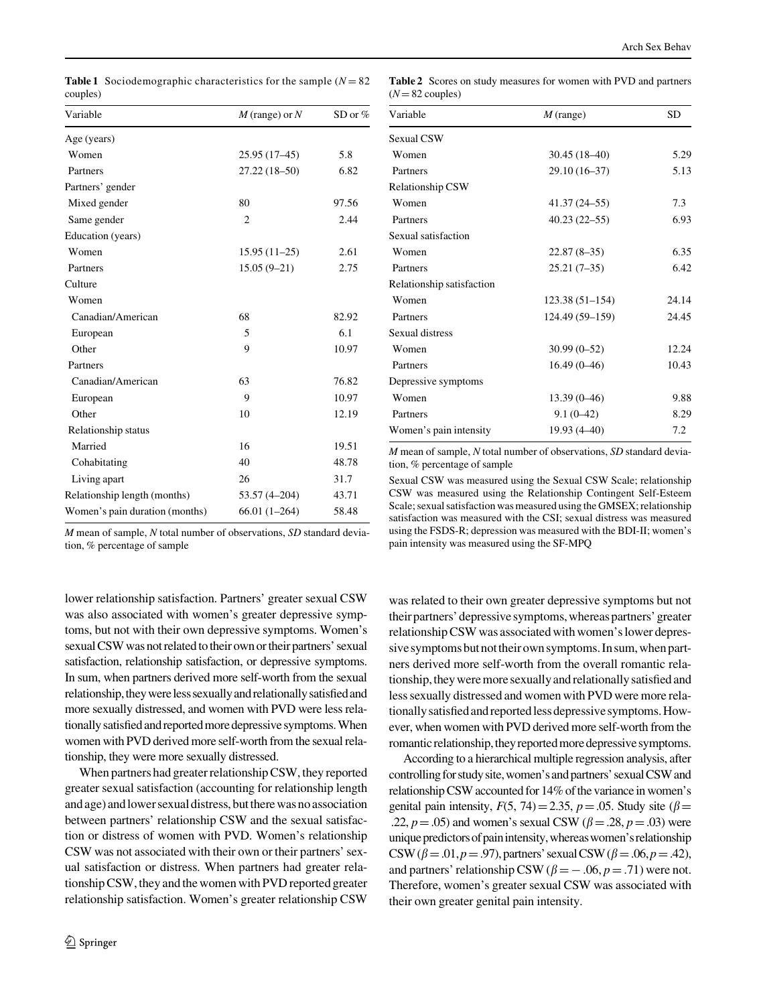Arch Sex Behav

<span id="page-5-0"></span>**Table 1** Sociodemographic characteristics for the sample  $(N = 82$ couples)

|                  | <b>Table 2</b> Scores on study measures for women with PVD and partners |
|------------------|-------------------------------------------------------------------------|
| $(N=82$ couples) |                                                                         |

Variable  $M$  (range) SD

| Variable                       | $M$ (range) or $N$ | SD or $%$ |
|--------------------------------|--------------------|-----------|
| Age (years)                    |                    |           |
| Women                          | $25.95(17-45)$     | 5.8       |
| Partners                       | $27.22(18-50)$     | 6.82      |
| Partners' gender               |                    |           |
| Mixed gender                   | 80                 | 97.56     |
| Same gender                    | $\mathfrak{D}$     | 2.44      |
| Education (years)              |                    |           |
| Women                          | $15.95(11-25)$     | 2.61      |
| Partners                       | $15.05(9-21)$      | 2.75      |
| Culture                        |                    |           |
| Women                          |                    |           |
| Canadian/American              | 68                 | 82.92     |
| European                       | 5                  | 6.1       |
| Other                          | 9                  | 10.97     |
| Partners                       |                    |           |
| Canadian/American              | 63                 | 76.82     |
| European                       | 9                  | 10.97     |
| Other                          | 10                 | 12.19     |
| Relationship status            |                    |           |
| Married                        | 16                 | 19.51     |
| Cohabitating                   | 40                 | 48.78     |
| Living apart                   | 26                 | 31.7      |
| Relationship length (months)   | $53.57(4 - 204)$   | 43.71     |
| Women's pain duration (months) | $66.01(1-264)$     | 58.48     |

M mean of sample, N total number of observations, SD standard devia-

tion, % percentage of sample

lower relationship satisfaction. Partners' greater sexual CSW was also associated with women's greater depressive symptoms, but not with their own depressive symptoms. Women's sexual CSW was not related to their own or their partners' sexual satisfaction, relationship satisfaction, or depressive symptoms. In sum, when partners derived more self-worth from the sexual relationship, they were less sexually and relationally satisfied and more sexually distressed, and women with PVD were less relationally satisfied and reported more depressive symptoms. When women with PVD derived more self-worth from the sexual relationship, they were more sexually distressed.

When partners had greater relationship CSW, they reported greater sexual satisfaction (accounting for relationship length and age) and lower sexual distress, but there was no association between partners' relationship CSW and the sexual satisfaction or distress of women with PVD. Women's relationship CSW was not associated with their own or their partners' sexual satisfaction or distress. When partners had greater relationship CSW, they and the women with PVD reported greater relationship satisfaction. Women's greater relationship CSW

| $30.45(18-40)$   | 5.29  |
|------------------|-------|
| $29.10(16-37)$   | 5.13  |
|                  |       |
| $41.37(24 - 55)$ | 7.3   |
| $40.23(22 - 55)$ | 6.93  |
|                  |       |
| $22.87(8-35)$    | 6.35  |
| $25.21(7-35)$    | 6.42  |
|                  |       |
| $123.38(51-154)$ | 24.14 |
| 124.49 (59-159)  | 24.45 |
|                  |       |
| $30.99(0-52)$    | 12.24 |
| $16.49(0-46)$    | 10.43 |
|                  |       |
| $13.39(0-46)$    | 9.88  |
| $9.1(0-42)$      | 8.29  |
| $19.93(4 - 40)$  | 7.2   |
|                  |       |

M mean of sample, N total number of observations, SD standard deviation, % percentage of sample

Sexual CSW was measured using the Sexual CSW Scale; relationship CSW was measured using the Relationship Contingent Self-Esteem Scale; sexual satisfaction was measured using the GMSEX; relationship satisfaction was measured with the CSI; sexual distress was measured using the FSDS-R; depression was measured with the BDI-II; women's pain intensity was measured using the SF-MPQ

was related to their own greater depressive symptoms but not their partners' depressive symptoms, whereas partners' greater relationship CSW was associated with women's lower depressive symptoms but not their own symptoms. In sum, when partners derived more self-worth from the overall romantic relationship, they were more sexually and relationally satisfied and less sexually distressed and women with PVD were more relationallysatisfiedandreportedlessdepressivesymptoms.However, when women with PVD derived more self-worth from the romantic relationship, they reported more depressive symptoms.

According to a hierarchical multiple regression analysis, after controlling for study site, women's and partners' sexual CSW and relationship CSW accounted for 14% of the variance in women's genital pain intensity,  $F(5, 74) = 2.35$ ,  $p = .05$ . Study site ( $\beta =$ .22,  $p = .05$ ) and women's sexual CSW ( $\beta = .28$ ,  $p = .03$ ) were unique predictors of pain intensity, whereas women's relationship CSW ( $\beta$  = .01,  $p$  = .97), partners' sexual CSW ( $\beta$  = .06,  $p$  = .42), and partners' relationship CSW ( $\beta = -.06, p = .71$ ) were not. Therefore, women's greater sexual CSW was associated with their own greater genital pain intensity.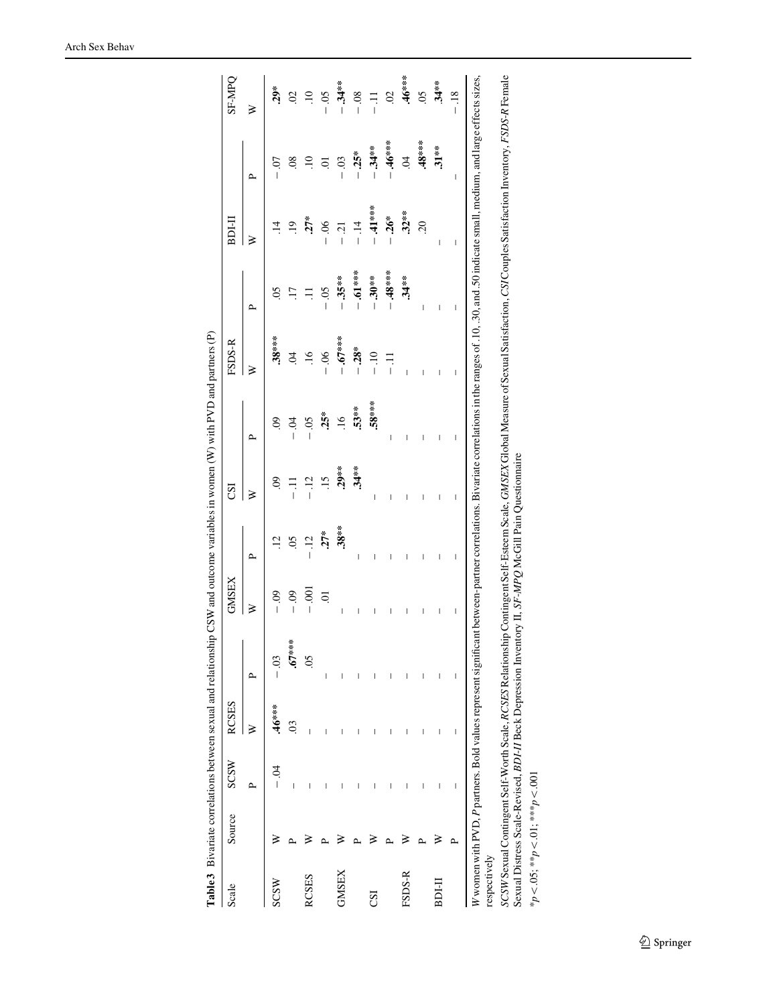<span id="page-6-0"></span>

| Scale        | Source | SCSW                     | <b>RCSES</b>   |                          | <b>GMSEX</b>                                                                                                                                                                                                                                                                                                                                                                     |                          | CSI                      |                          | FSDS-R          |            | BDI-II         |                     | <b>SF-MPC</b>             |
|--------------|--------|--------------------------|----------------|--------------------------|----------------------------------------------------------------------------------------------------------------------------------------------------------------------------------------------------------------------------------------------------------------------------------------------------------------------------------------------------------------------------------|--------------------------|--------------------------|--------------------------|-----------------|------------|----------------|---------------------|---------------------------|
|              |        | ≏                        | ⋗              | Δ                        | ≽                                                                                                                                                                                                                                                                                                                                                                                | $\sim$                   | ≽                        | ≏                        | ≽               | $\sim$     | ≽              | $\mathbf{r}$        | ≽                         |
| SCSW         |        | $-5$                     | $46***$        | $-03$                    | $-0.9$                                                                                                                                                                                                                                                                                                                                                                           |                          | වී                       | $\overline{0}$           | $38***$         | SO         | $\overline{4}$ |                     | $29*$                     |
|              |        | $\overline{\phantom{a}}$ | $\overline{0}$ | $.67***$                 | $-0.9$                                                                                                                                                                                                                                                                                                                                                                           | $\overline{0}$           |                          |                          | $\widetilde{q}$ |            |                | $\overline{0}$      | $\mathcal{S}$             |
| RCSES        |        | ı                        | I              | 0 <sub>5</sub>           | $-0.001$                                                                                                                                                                                                                                                                                                                                                                         | $-12$                    | S.                       | $\overline{50}$          | $\frac{6}{1}$   |            | $27*$          | Ξ                   | $\overline{10}$           |
|              |        |                          | I              | $\overline{\phantom{a}}$ | 5.                                                                                                                                                                                                                                                                                                                                                                               | $27*$                    | $\overline{.15}$         | $25*$                    | $-0.06$         | $-0.5$     | $-0.06$        | Ξ.                  | $-0.05$                   |
| <b>GMSEX</b> |        | I                        | I              | I                        | $\begin{array}{c} \rule{0pt}{2.5ex} \rule{0pt}{2.5ex} \rule{0pt}{2.5ex} \rule{0pt}{2.5ex} \rule{0pt}{2.5ex} \rule{0pt}{2.5ex} \rule{0pt}{2.5ex} \rule{0pt}{2.5ex} \rule{0pt}{2.5ex} \rule{0pt}{2.5ex} \rule{0pt}{2.5ex} \rule{0pt}{2.5ex} \rule{0pt}{2.5ex} \rule{0pt}{2.5ex} \rule{0pt}{2.5ex} \rule{0pt}{2.5ex} \rule{0pt}{2.5ex} \rule{0pt}{2.5ex} \rule{0pt}{2.5ex} \rule{0$ | $.38**$                  | $29**$                   | $\ddot{.}$               | $-67***$        | $-35**$    | $\overline{c}$ | $\ddot{\mathrm{c}}$ | $-34**$                   |
|              |        |                          |                |                          | I                                                                                                                                                                                                                                                                                                                                                                                | $\overline{\phantom{a}}$ | $34**$                   | $53**$                   | $-28*$          | $-0.61***$ | $-14$          | $-0.25*$            | $-0.08$                   |
| <b>USD</b>   |        |                          | I              |                          | I                                                                                                                                                                                                                                                                                                                                                                                | $\overline{\phantom{a}}$ | $\overline{\phantom{a}}$ | $.58***$                 | $-10$           | $-30^{**}$ | $-41***$       | $-34**$             |                           |
|              |        | ı                        | ı              | ı                        | I                                                                                                                                                                                                                                                                                                                                                                                | I                        | $\overline{\phantom{a}}$ | $\overline{\phantom{a}}$ | ラー              | $-48***$   | $-26*$         | $-46***$            | $\mathcal{S}$             |
| FSDS-R       |        |                          | I              |                          | I                                                                                                                                                                                                                                                                                                                                                                                | I                        | I                        | I                        | I               | $34**$     | $.32**$        | S.                  | $46***$                   |
|              |        | I                        | I              | I                        | I                                                                                                                                                                                                                                                                                                                                                                                | I                        | I                        | I                        | I               | I          | $\overline{c}$ | $.48***$            | $\widetilde{\mathrm{SO}}$ |
| FICE         | ⋧      | I                        | I              | I                        | $\overline{\phantom{a}}$                                                                                                                                                                                                                                                                                                                                                         | I                        | I                        | I                        | I               | I          | I              | $31**$              | $34**$                    |
|              | $\sim$ | I                        | I              | I                        | I                                                                                                                                                                                                                                                                                                                                                                                | I                        | $\overline{\phantom{a}}$ | I                        | I               | I          | I              | I                   | $-18$                     |

# SCSW Sexual Contingent Self-Worth Scale, RCSES Relationship Contingent Self-Esteem Scale, GMSEX Global Measure of Sexual Satisfaction, CSI Couples Satisfaction Inventory, FSDS-R Female<br>Sexual Distress Scale-Revised, BDI-II SCSW Sexual Contingent Self-Worth Scale,RCSESRelationship Contingent Self-Esteem Scale, GMSEX Global Measure of Sexual Satisfaction,CSICouples Satisfaction Inventory,FSDS-RFemale Sexual Distress Scale-Revised, *BDI-II* Beck Depression Inventory II, SF-MPQ McGill Pain Questionnaire

 $*_{p} < 0.05$ ;  $*_{p} < 0.01$ ;  $*_{*} < 0.001$  $*p\lt.05; **p\lt.01; ***p\lt.001$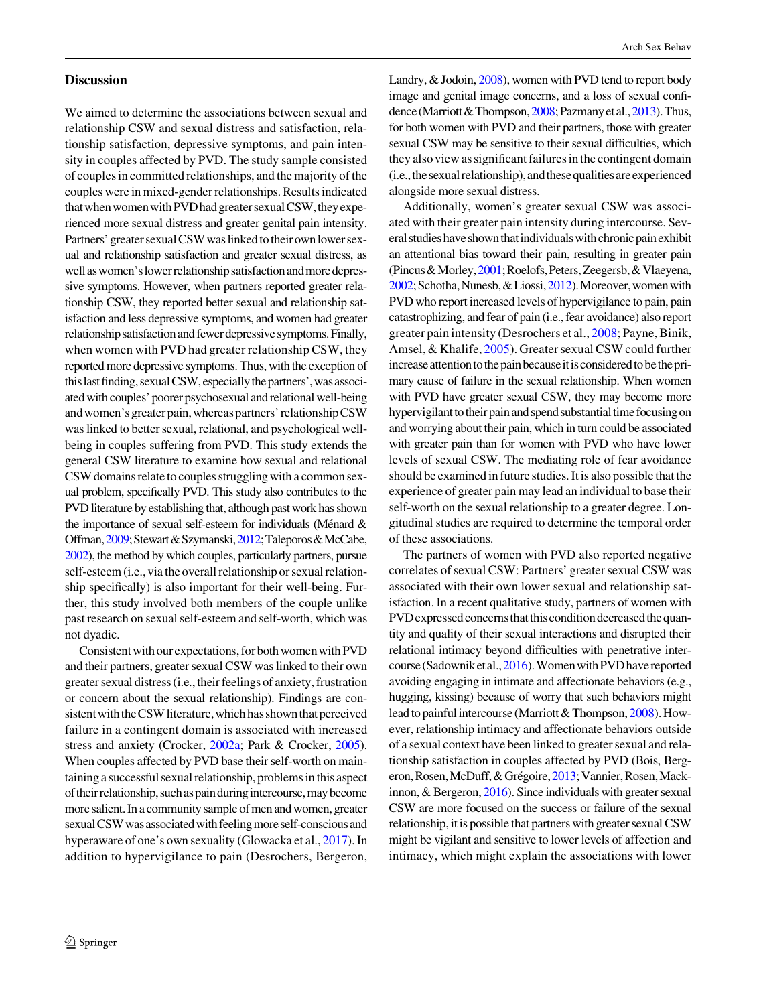# **Discussion**

We aimed to determine the associations between sexual and relationship CSW and sexual distress and satisfaction, relationship satisfaction, depressive symptoms, and pain intensity in couples affected by PVD. The study sample consisted of couples in committed relationships, and the majority of the couples were in mixed-gender relationships. Results indicated that when women with PVD had greater sexual CSW, they experienced more sexual distress and greater genital pain intensity. Partners' greater sexual CSW was linked to their own lower sexual and relationship satisfaction and greater sexual distress, as well as women's lower relationship satisfaction and more depressive symptoms. However, when partners reported greater relationship CSW, they reported better sexual and relationship satisfaction and less depressive symptoms, and women had greater relationship satisfaction and fewer depressive symptoms. Finally, when women with PVD had greater relationship CSW, they reported more depressive symptoms. Thus, with the exception of this last finding, sexual CSW, especially the partners', was associated with couples' poorer psychosexual and relational well-being and women's greater pain, whereas partners' relationship CSW was linked to better sexual, relational, and psychological wellbeing in couples suffering from PVD. This study extends the general CSW literature to examine how sexual and relational CSW domains relate to couples struggling with a common sexual problem, specifically PVD. This study also contributes to the PVD literature by establishing that, although past work has shown the importance of sexual self-esteem for individuals (Ménard  $\&$ Offman, [2009;](#page-11-0) Stewart & Szymanski, [2012;](#page-12-0) Taleporos & McCabe, [2002](#page-12-0)), the method by which couples, particularly partners, pursue self-esteem (i.e., via the overall relationship or sexual relationship specifically) is also important for their well-being. Further, this study involved both members of the couple unlike past research on sexual self-esteem and self-worth, which was not dyadic.

Consistent with our expectations, for both women with PVD and their partners, greater sexual CSW was linked to their own greater sexual distress (i.e., their feelings of anxiety, frustration or concern about the sexual relationship). Findings are consistent with the CSW literature, which has shown that perceived failure in a contingent domain is associated with increased stress and anxiety (Crocker, [2002a;](#page-10-0) Park & Crocker, [2005](#page-11-0)). When couples affected by PVD base their self-worth on maintaining a successful sexual relationship, problems in this aspect of their relationship, such as pain during intercourse, may become more salient. In a community sample of men and women, greater sexual CSW was associated with feeling more self-conscious and hyperaware of one's own sexuality (Glowacka et al., [2017\)](#page-11-0). In addition to hypervigilance to pain (Desrochers, Bergeron,

Landry, & Jodoin, [2008\)](#page-11-0), women with PVD tend to report body image and genital image concerns, and a loss of sexual confi-dence (Marriott & Thompson, [2008;](#page-11-0) Pazmany et al., [2013](#page-11-0)). Thus, for both women with PVD and their partners, those with greater sexual CSW may be sensitive to their sexual difficulties, which they also view as significant failures in the contingent domain (i.e., the sexual relationship), and these qualities are experienced alongside more sexual distress.

Additionally, women's greater sexual CSW was associated with their greater pain intensity during intercourse. Several studies have shown that individuals with chronic pain exhibit an attentional bias toward their pain, resulting in greater pain (Pincus&Morley,[2001](#page-11-0);Roelofs,Peters,Zeegersb,&Vlaeyena, [2002](#page-11-0); Schotha, Nunesb, & Liossi, [2012](#page-12-0)). Moreover, women with PVD who report increased levels of hypervigilance to pain, pain catastrophizing, and fear of pain (i.e., fear avoidance) also report greater pain intensity (Desrochers et al., [2008;](#page-11-0) Payne, Binik, Amsel, & Khalife, [2005](#page-11-0)). Greater sexual CSW could further increase attention to the pain because it is considered to be the primary cause of failure in the sexual relationship. When women with PVD have greater sexual CSW, they may become more hypervigilant to their pain and spend substantial time focusing on and worrying about their pain, which in turn could be associated with greater pain than for women with PVD who have lower levels of sexual CSW. The mediating role of fear avoidance should be examined in future studies. It is also possible that the experience of greater pain may lead an individual to base their self-worth on the sexual relationship to a greater degree. Longitudinal studies are required to determine the temporal order of these associations.

The partners of women with PVD also reported negative correlates of sexual CSW: Partners' greater sexual CSW was associated with their own lower sexual and relationship satisfaction. In a recent qualitative study, partners of women with PVD expressed concerns that this condition decreased the quantity and quality of their sexual interactions and disrupted their relational intimacy beyond difficulties with penetrative intercourse(Sadowniketal.,[2016](#page-12-0)).WomenwithPVDhavereported avoiding engaging in intimate and affectionate behaviors (e.g., hugging, kissing) because of worry that such behaviors might lead to painful intercourse (Marriott & Thompson, [2008\)](#page-11-0). However, relationship intimacy and affectionate behaviors outside of a sexual context have been linked to greater sexual and relationship satisfaction in couples affected by PVD (Bois, Berg-eron, Rosen, McDuff, & Grégoire, [2013;](#page-10-0) Vannier, Rosen, Mackinnon, & Bergeron, [2016\)](#page-12-0). Since individuals with greater sexual CSW are more focused on the success or failure of the sexual relationship, it is possible that partners with greater sexual CSW might be vigilant and sensitive to lower levels of affection and intimacy, which might explain the associations with lower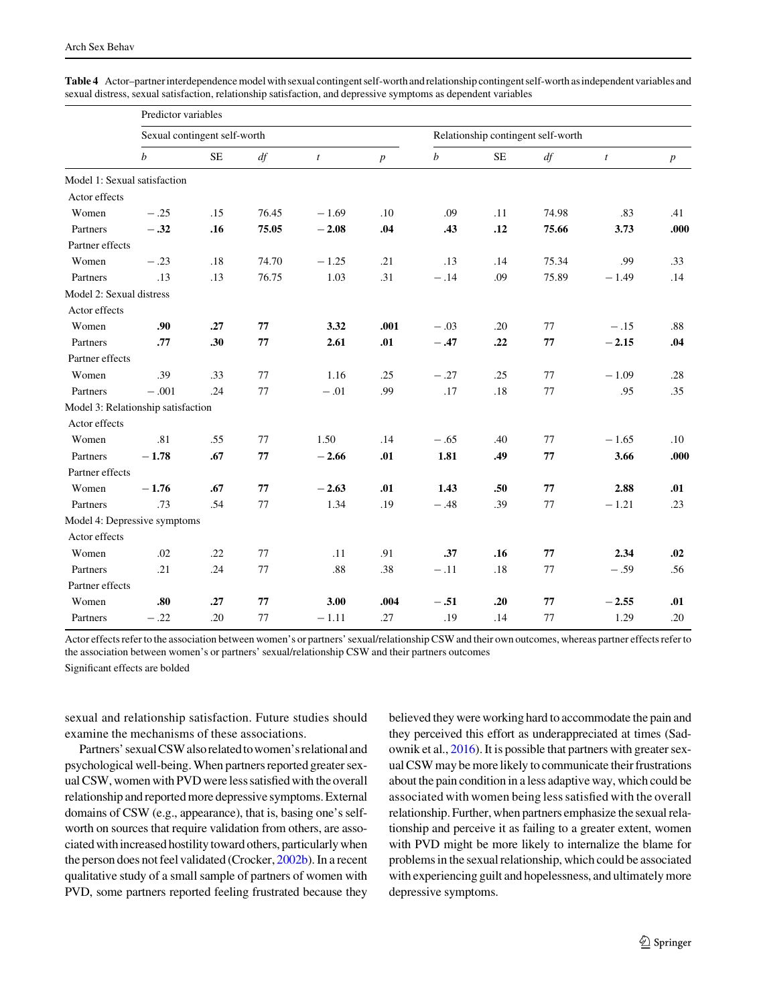|                          | Predictor variables                |          |       |                  |                  |                                    |          |            |                  |                  |
|--------------------------|------------------------------------|----------|-------|------------------|------------------|------------------------------------|----------|------------|------------------|------------------|
|                          | Sexual contingent self-worth       |          |       |                  |                  | Relationship contingent self-worth |          |            |                  |                  |
|                          | $\boldsymbol{b}$                   | $\rm SE$ | df    | $\boldsymbol{t}$ | $\boldsymbol{p}$ | $\boldsymbol{b}$                   | $\rm SE$ | df         | $\boldsymbol{t}$ | $\boldsymbol{p}$ |
|                          | Model 1: Sexual satisfaction       |          |       |                  |                  |                                    |          |            |                  |                  |
| Actor effects            |                                    |          |       |                  |                  |                                    |          |            |                  |                  |
| Women                    | $-.25$                             | .15      | 76.45 | $-1.69$          | .10              | .09                                | .11      | 74.98      | .83              | .41              |
| Partners                 | $-.32$                             | .16      | 75.05 | $-2.08$          | .04              | .43                                | .12      | 75.66      | 3.73             | .000             |
| Partner effects          |                                    |          |       |                  |                  |                                    |          |            |                  |                  |
| Women                    | $-.23$                             | .18      | 74.70 | $-1.25$          | .21              | .13                                | .14      | 75.34      | .99              | .33              |
| Partners                 | .13                                | .13      | 76.75 | 1.03             | .31              | $-.14$                             | .09      | 75.89      | $-1.49$          | .14              |
| Model 2: Sexual distress |                                    |          |       |                  |                  |                                    |          |            |                  |                  |
| Actor effects            |                                    |          |       |                  |                  |                                    |          |            |                  |                  |
| Women                    | .90                                | .27      | 77    | 3.32             | .001             | $-.03$                             | .20      | 77         | $-.15$           | .88              |
| Partners                 | .77                                | .30      | 77    | 2.61             | .01              | $-.47$                             | .22      | $77\,$     | $-2.15$          | .04              |
| Partner effects          |                                    |          |       |                  |                  |                                    |          |            |                  |                  |
| Women                    | .39                                | .33      | 77    | 1.16             | .25              | $-.27$                             | .25      | 77         | $-1.09$          | .28              |
| Partners                 | $-.001$                            | .24      | 77    | $-.01$           | .99              | .17                                | .18      | 77         | .95              | .35              |
|                          | Model 3: Relationship satisfaction |          |       |                  |                  |                                    |          |            |                  |                  |
| Actor effects            |                                    |          |       |                  |                  |                                    |          |            |                  |                  |
| Women                    | .81                                | .55      | 77    | 1.50             | .14              | $-.65$                             | .40      | 77         | $-1.65$          | .10              |
| Partners                 | $-1.78$                            | .67      | 77    | $-2.66$          | .01              | 1.81                               | .49      | ${\bf 77}$ | 3.66             | .000             |
| Partner effects          |                                    |          |       |                  |                  |                                    |          |            |                  |                  |
| Women                    | $-1.76$                            | .67      | 77    | $-2.63$          | .01              | 1.43                               | .50      | 77         | 2.88             | .01              |
| Partners                 | .73                                | .54      | 77    | 1.34             | .19              | $-.48$                             | .39      | $77\,$     | $-1.21$          | .23              |
|                          | Model 4: Depressive symptoms       |          |       |                  |                  |                                    |          |            |                  |                  |
| Actor effects            |                                    |          |       |                  |                  |                                    |          |            |                  |                  |
| Women                    | .02                                | .22      | 77    | .11              | .91              | .37                                | .16      | 77         | 2.34             | .02              |
| Partners                 | .21                                | .24      | 77    | .88              | .38              | $-.11$                             | .18      | 77         | $-.59$           | .56              |
| Partner effects          |                                    |          |       |                  |                  |                                    |          |            |                  |                  |
| Women                    | .80                                | .27      | 77    | 3.00             | .004             | $-.51$                             | .20      | 77         | $-2.55$          | .01              |
| Partners                 | $-.22$                             | .20      | 77    | $-1.11$          | .27              | .19                                | .14      | 77         | 1.29             | .20              |

<span id="page-8-0"></span>Table 4 Actor–partner interdependence model with sexual contingent self-worth and relationship contingent self-worth as independent variables and sexual distress, sexual satisfaction, relationship satisfaction, and depressive symptoms as dependent variables

Actor effects refer to the association between women's or partners' sexual/relationship CSW and their own outcomes, whereas partner effects refer to the association between women's or partners' sexual/relationship CSW and their partners outcomes

Significant effects are bolded

sexual and relationship satisfaction. Future studies should examine the mechanisms of these associations.

Partners'sexualCSWalsorelatedtowomen'srelationaland psychological well-being. When partners reported greater sexual CSW, women with PVD were less satisfied with the overall relationship and reported more depressive symptoms. External domains of CSW (e.g., appearance), that is, basing one's selfworth on sources that require validation from others, are associated withincreased hostility toward others, particularly when the person does not feel validated (Crocker, [2002b](#page-10-0)). In a recent qualitative study of a small sample of partners of women with PVD, some partners reported feeling frustrated because they believed they were working hard to accommodate the pain and they perceived this effort as underappreciated at times (Sadownik et al., [2016](#page-12-0)). It is possible that partners with greater sexual CSW may be more likely to communicate their frustrations about the pain condition in a less adaptive way, which could be associated with women being less satisfied with the overall relationship. Further, when partners emphasize the sexual relationship and perceive it as failing to a greater extent, women with PVD might be more likely to internalize the blame for problems in the sexual relationship, which could be associated with experiencing guilt and hopelessness, and ultimately more depressive symptoms.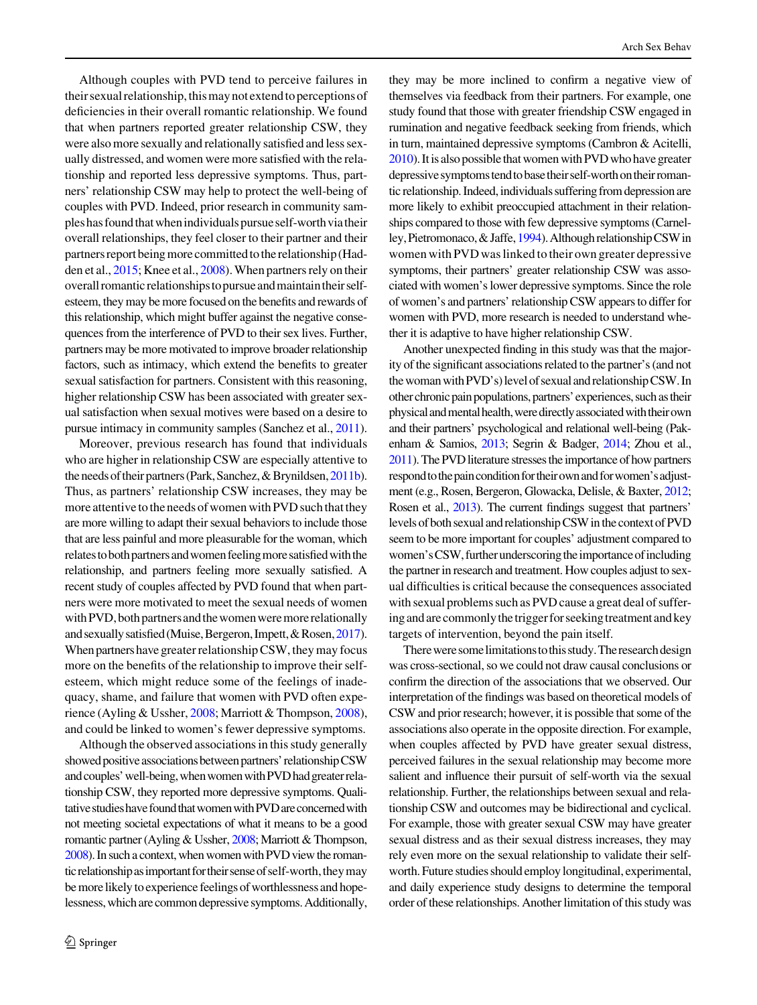Although couples with PVD tend to perceive failures in their sexual relationship, this may not extend to perceptions of deficiencies in their overall romantic relationship. We found that when partners reported greater relationship CSW, they were also more sexually and relationally satisfied and less sexually distressed, and women were more satisfied with the relationship and reported less depressive symptoms. Thus, partners' relationship CSW may help to protect the well-being of couples with PVD. Indeed, prior research in community samples has found that when individuals pursue self-worth via their overall relationships, they feel closer to their partner and their partners report being more committed to the relationship (Hadden et al., [2015;](#page-11-0) Knee et al., [2008](#page-11-0)). When partners rely on their overall romantic relationships to pursue and maintain their selfesteem, they may be more focused on the benefits and rewards of this relationship, which might buffer against the negative consequences from the interference of PVD to their sex lives. Further, partners may be more motivated to improve broader relationship factors, such as intimacy, which extend the benefits to greater sexual satisfaction for partners. Consistent with this reasoning, higher relationship CSW has been associated with greater sexual satisfaction when sexual motives were based on a desire to pursue intimacy in community samples (Sanchez et al., [2011](#page-12-0)).

Moreover, previous research has found that individuals who are higher in relationship CSW are especially attentive to the needs of their partners (Park, Sanchez, & Brynildsen, [2011b\)](#page-11-0). Thus, as partners' relationship CSW increases, they may be more attentive to the needs of women with PVD such that they are more willing to adapt their sexual behaviors to include those that are less painful and more pleasurable for the woman, which relates to both partners and women feeling more satisfied with the relationship, and partners feeling more sexually satisfied. A recent study of couples affected by PVD found that when partners were more motivated to meet the sexual needs of women with PVD, both partners and the women were more relationally and sexually satisfied (Muise, Bergeron, Impett, & Rosen, [2017\)](#page-11-0). When partners have greater relationship CSW, they may focus more on the benefits of the relationship to improve their selfesteem, which might reduce some of the feelings of inadequacy, shame, and failure that women with PVD often experience (Ayling & Ussher, [2008](#page-10-0); Marriott & Thompson, [2008](#page-11-0)), and could be linked to women's fewer depressive symptoms.

Although the observed associations in this study generally showed positive associations between partners' relationship CSW and couples' well-being, when women with PVD had greater relationship CSW, they reported more depressive symptoms. Qualitative studies have found that women with PVD are concerned with not meeting societal expectations of what it means to be a good romantic partner (Ayling & Ussher, [2008;](#page-10-0) Marriott & Thompson, [2008](#page-11-0)). In such a context, when women with PVD view the romantic relationship as important for their sense of self-worth, they may be more likely to experience feelings of worthlessness and hopelessness, which are common depressive symptoms. Additionally, they may be more inclined to confirm a negative view of themselves via feedback from their partners. For example, one study found that those with greater friendship CSW engaged in rumination and negative feedback seeking from friends, which in turn, maintained depressive symptoms (Cambron & Acitelli, [2010](#page-10-0)). It is also possible that women with PVD who have greater depressive symptoms tend to base their self-worth on their romantic relationship. Indeed, individuals suffering from depression are more likely to exhibit preoccupied attachment in their relationships compared to those with few depressive symptoms (Carnel-ley, Pietromonaco, & Jaffe, [1994](#page-10-0)). Although relationship CSW in women with PVD was linked to their own greater depressive symptoms, their partners' greater relationship CSW was associated with women's lower depressive symptoms. Since the role of women's and partners' relationship CSW appears to differ for women with PVD, more research is needed to understand whether it is adaptive to have higher relationship CSW.

Another unexpected finding in this study was that the majority of the significant associations related to the partner's (and not the woman with PVD's) level of sexual and relationship CSW. In other chronic pain populations, partners' experiences, such as their physical and mental health, were directly associated with their own and their partners' psychological and relational well-being (Pakenham & Samios, [2013](#page-11-0); Segrin & Badger, [2014](#page-12-0); Zhou et al., [2011\)](#page-12-0). The PVD literature stresses the importance of how partners respond to the pain condition for their own and for women's adjustment (e.g., Rosen, Bergeron, Glowacka, Delisle, & Baxter, [2012](#page-11-0); Rosen et al., [2013\)](#page-11-0). The current findings suggest that partners' levels of both sexual and relationship CSW in the context of PVD seem to be more important for couples' adjustment compared to women's CSW, further underscoring the importance of including the partner in research and treatment. How couples adjust to sexual difficulties is critical because the consequences associated with sexual problems such as PVD cause a great deal of suffering and are commonly the trigger for seeking treatment and key targets of intervention, beyond the pain itself.

There were some limitations to this study. The research design was cross-sectional, so we could not draw causal conclusions or confirm the direction of the associations that we observed. Our interpretation of the findings was based on theoretical models of CSW and prior research; however, it is possible that some of the associations also operate in the opposite direction. For example, when couples affected by PVD have greater sexual distress, perceived failures in the sexual relationship may become more salient and influence their pursuit of self-worth via the sexual relationship. Further, the relationships between sexual and relationship CSW and outcomes may be bidirectional and cyclical. For example, those with greater sexual CSW may have greater sexual distress and as their sexual distress increases, they may rely even more on the sexual relationship to validate their selfworth. Future studies should employ longitudinal, experimental, and daily experience study designs to determine the temporal order of these relationships. Another limitation of this study was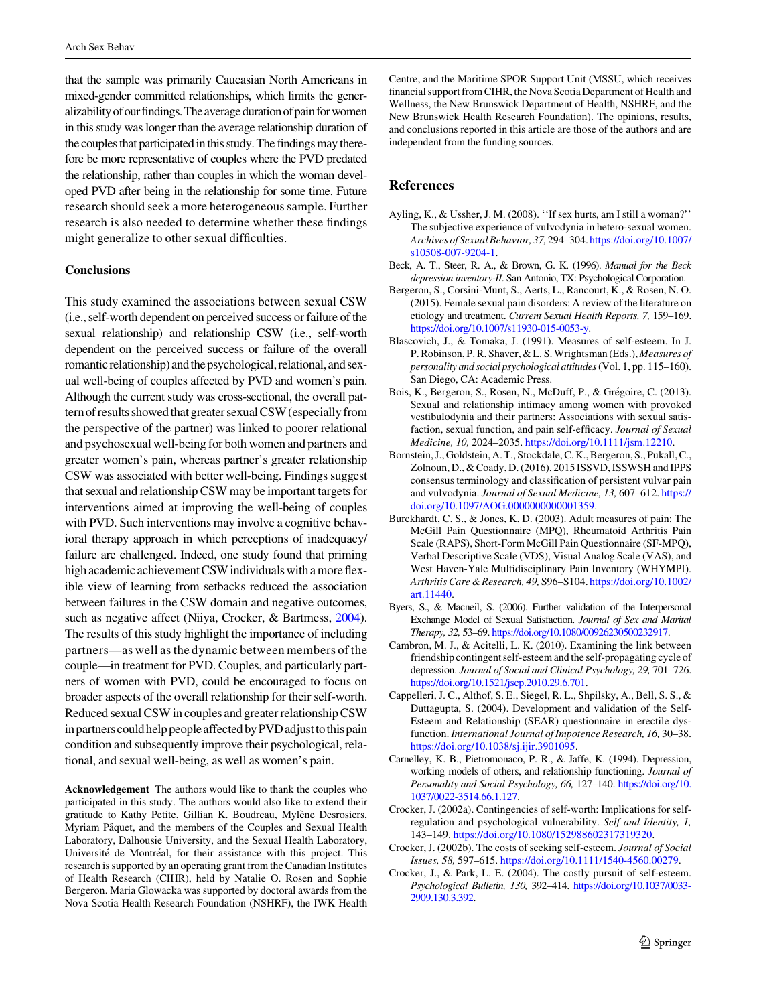<span id="page-10-0"></span>that the sample was primarily Caucasian North Americans in mixed-gender committed relationships, which limits the generalizability of our findings. The average duration of pain for women in this study was longer than the average relationship duration of the couples that participated in this study. The findings may therefore be more representative of couples where the PVD predated the relationship, rather than couples in which the woman developed PVD after being in the relationship for some time. Future research should seek a more heterogeneous sample. Further research is also needed to determine whether these findings might generalize to other sexual difficulties.

#### **Conclusions**

This study examined the associations between sexual CSW (i.e., self-worth dependent on perceived success or failure of the sexual relationship) and relationship CSW (i.e., self-worth dependent on the perceived success or failure of the overall romantic relationship) and the psychological, relational, and sexual well-being of couples affected by PVD and women's pain. Although the current study was cross-sectional, the overall pattern of results showed that greater sexual CSW (especially from the perspective of the partner) was linked to poorer relational and psychosexual well-being for both women and partners and greater women's pain, whereas partner's greater relationship CSW was associated with better well-being. Findings suggest that sexual and relationship CSW may be important targets for interventions aimed at improving the well-being of couples with PVD. Such interventions may involve a cognitive behavioral therapy approach in which perceptions of inadequacy/ failure are challenged. Indeed, one study found that priming high academic achievementCSW individuals with a more flexible view of learning from setbacks reduced the association between failures in the CSW domain and negative outcomes, such as negative affect (Niiya, Crocker, & Bartmess, [2004](#page-11-0)). The results of this study highlight the importance of including partners—as well as the dynamic between members of the couple—in treatment for PVD. Couples, and particularly partners of women with PVD, could be encouraged to focus on broader aspects of the overall relationship for their self-worth. Reduced sexual CSW in couples and greater relationship CSW in partners could help people affected by PVD adjust to this pain condition and subsequently improve their psychological, relational, and sexual well-being, as well as women's pain.

Acknowledgement The authors would like to thank the couples who participated in this study. The authors would also like to extend their gratitude to Kathy Petite, Gillian K. Boudreau, Mylène Desrosiers, Myriam Pâquet, and the members of the Couples and Sexual Health Laboratory, Dalhousie University, and the Sexual Health Laboratory, Université de Montréal, for their assistance with this project. This research is supported by an operating grant from the Canadian Institutes of Health Research (CIHR), held by Natalie O. Rosen and Sophie Bergeron. Maria Glowacka was supported by doctoral awards from the Nova Scotia Health Research Foundation (NSHRF), the IWK Health

Centre, and the Maritime SPOR Support Unit (MSSU, which receives financial support from CIHR, the Nova Scotia Department of Health and Wellness, the New Brunswick Department of Health, NSHRF, and the New Brunswick Health Research Foundation). The opinions, results, and conclusions reported in this article are those of the authors and are independent from the funding sources.

#### References

- Ayling, K., & Ussher, J. M. (2008). ''If sex hurts, am I still a woman?'' The subjective experience of vulvodynia in hetero-sexual women. Archives of Sexual Behavior, 37,294–304.[https://doi.org/10.1007/](https://doi.org/10.1007/s10508-007-9204-1) [s10508-007-9204-1.](https://doi.org/10.1007/s10508-007-9204-1)
- Beck, A. T., Steer, R. A., & Brown, G. K. (1996). Manual for the Beck depression inventory-II. San Antonio, TX: Psychological Corporation.
- Bergeron, S., Corsini-Munt, S., Aerts, L., Rancourt, K., & Rosen, N. O. (2015). Female sexual pain disorders: A review of the literature on etiology and treatment. Current Sexual Health Reports, 7, 159–169. <https://doi.org/10.1007/s11930-015-0053-y>.
- Blascovich, J., & Tomaka, J. (1991). Measures of self-esteem. In J. P. Robinson, P. R. Shaver, & L. S. Wrightsman (Eds.), Measures of personality and social psychological attitudes(Vol. 1, pp. 115–160). San Diego, CA: Academic Press.
- Bois, K., Bergeron, S., Rosen, N., McDuff, P., & Grégoire, C. (2013). Sexual and relationship intimacy among women with provoked vestibulodynia and their partners: Associations with sexual satisfaction, sexual function, and pain self-efficacy. Journal of Sexual Medicine, 10, 2024–2035. <https://doi.org/10.1111/jsm.12210>.
- Bornstein, J., Goldstein, A. T., Stockdale, C. K., Bergeron, S., Pukall, C., Zolnoun, D., & Coady, D. (2016). 2015 ISSVD, ISSWSH and IPPS consensus terminology and classification of persistent vulvar pain and vulvodynia. Journal of Sexual Medicine, 13, 607–612. [https://](https://doi.org/10.1097/AOG.0000000000001359) [doi.org/10.1097/AOG.0000000000001359.](https://doi.org/10.1097/AOG.0000000000001359)
- Burckhardt, C. S., & Jones, K. D. (2003). Adult measures of pain: The McGill Pain Questionnaire (MPQ), Rheumatoid Arthritis Pain Scale (RAPS), Short-Form McGill Pain Questionnaire (SF-MPQ), Verbal Descriptive Scale (VDS), Visual Analog Scale (VAS), and West Haven-Yale Multidisciplinary Pain Inventory (WHYMPI). Arthritis Care & Research, 49, S96–S104. [https://doi.org/10.1002/](https://doi.org/10.1002/art.11440) [art.11440](https://doi.org/10.1002/art.11440).
- Byers, S., & Macneil, S. (2006). Further validation of the Interpersonal Exchange Model of Sexual Satisfaction. Journal of Sex and Marital Therapy, 32, 53–69. [https://doi.org/10.1080/00926230500232917.](https://doi.org/10.1080/00926230500232917)
- Cambron, M. J., & Acitelli, L. K. (2010). Examining the link between friendship contingent self-esteem and the self-propagating cycle of depression. Journal of Social and Clinical Psychology, 29, 701–726. [https://doi.org/10.1521/jscp.2010.29.6.701.](https://doi.org/10.1521/jscp.2010.29.6.701)
- Cappelleri, J. C., Althof, S. E., Siegel, R. L., Shpilsky, A., Bell, S. S., & Duttagupta, S. (2004). Development and validation of the Self-Esteem and Relationship (SEAR) questionnaire in erectile dysfunction. International Journal of Impotence Research, 16, 30–38. [https://doi.org/10.1038/sj.ijir.3901095.](https://doi.org/10.1038/sj.ijir.3901095)
- Carnelley, K. B., Pietromonaco, P. R., & Jaffe, K. (1994). Depression, working models of others, and relationship functioning. Journal of Personality and Social Psychology, 66, 127–140. [https://doi.org/10.](https://doi.org/10.1037/0022-3514.66.1.127) [1037/0022-3514.66.1.127](https://doi.org/10.1037/0022-3514.66.1.127).
- Crocker, J. (2002a). Contingencies of self-worth: Implications for selfregulation and psychological vulnerability. Self and Identity, 1, 143–149. <https://doi.org/10.1080/152988602317319320>.
- Crocker, J. (2002b). The costs of seeking self-esteem. Journal of Social Issues, 58, 597–615. <https://doi.org/10.1111/1540-4560.00279>.
- Crocker, J., & Park, L. E. (2004). The costly pursuit of self-esteem. Psychological Bulletin, 130, 392–414. [https://doi.org/10.1037/0033-](https://doi.org/10.1037/0033-2909.130.3.392) [2909.130.3.392.](https://doi.org/10.1037/0033-2909.130.3.392)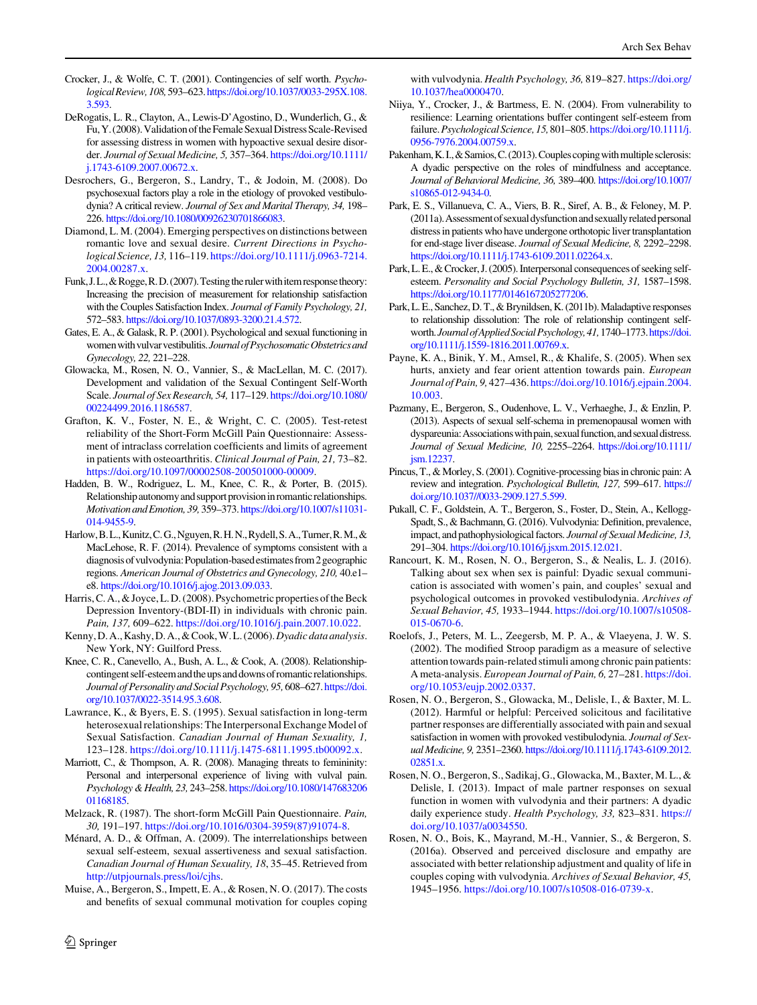- <span id="page-11-0"></span>Crocker, J., & Wolfe, C. T. (2001). Contingencies of self worth. PsychologicalReview,108,593–623.[https://doi.org/10.1037/0033-295X.108.](https://doi.org/10.1037/0033-295X.108.3.593) [3.593.](https://doi.org/10.1037/0033-295X.108.3.593)
- DeRogatis, L. R., Clayton, A., Lewis-D'Agostino, D., Wunderlich, G., & Fu, Y. (2008). Validation of the Female Sexual Distress Scale-Revised for assessing distress in women with hypoactive sexual desire disorder. Journal of Sexual Medicine, 5, 357-364. [https://doi.org/10.1111/](https://doi.org/10.1111/j.1743-6109.2007.00672.x) [j.1743-6109.2007.00672.x.](https://doi.org/10.1111/j.1743-6109.2007.00672.x)
- Desrochers, G., Bergeron, S., Landry, T., & Jodoin, M. (2008). Do psychosexual factors play a role in the etiology of provoked vestibulodynia? A critical review. Journal of Sex and Marital Therapy, 34, 198– 226. <https://doi.org/10.1080/00926230701866083>.
- Diamond, L. M. (2004). Emerging perspectives on distinctions between romantic love and sexual desire. Current Directions in Psychological Science, 13, 116–119. [https://doi.org/10.1111/j.0963-7214.](https://doi.org/10.1111/j.0963-7214.2004.00287.x) [2004.00287.x.](https://doi.org/10.1111/j.0963-7214.2004.00287.x)
- Funk, J.L., & Rogge, R.D. (2007). Testing the ruler with item response theory: Increasing the precision of measurement for relationship satisfaction with the Couples Satisfaction Index. Journal of Family Psychology, 21, 572–583. [https://doi.org/10.1037/0893-3200.21.4.572.](https://doi.org/10.1037/0893-3200.21.4.572)
- Gates, E. A., & Galask, R. P. (2001). Psychological and sexual functioning in women with vulvar vestibulitis. Journal of Psychosomatic Obstetrics and Gynecology, 22, 221–228.
- Glowacka, M., Rosen, N. O., Vannier, S., & MacLellan, M. C. (2017). Development and validation of the Sexual Contingent Self-Worth Scale. Journal of Sex Research, 54, 117–129. [https://doi.org/10.1080/](https://doi.org/10.1080/00224499.2016.1186587) [00224499.2016.1186587](https://doi.org/10.1080/00224499.2016.1186587).
- Grafton, K. V., Foster, N. E., & Wright, C. C. (2005). Test-retest reliability of the Short-Form McGill Pain Questionnaire: Assessment of intraclass correlation coefficients and limits of agreement in patients with osteoarthritis. Clinical Journal of Pain, 21, 73–82. <https://doi.org/10.1097/00002508-200501000-00009>.
- Hadden, B. W., Rodriguez, L. M., Knee, C. R., & Porter, B. (2015). Relationship autonomy and support provision in romantic relationships. Motivation andEmotion, 39,359–373.[https://doi.org/10.1007/s11031-](https://doi.org/10.1007/s11031-014-9455-9) [014-9455-9.](https://doi.org/10.1007/s11031-014-9455-9)
- Harlow,B.L.,Kunitz,C.G.,Nguyen,R.H.N.,Rydell,S.A.,Turner,R.M.,& MacLehose, R. F. (2014). Prevalence of symptoms consistent with a diagnosis of vulvodynia: Population-based estimates from 2 geographic regions. American Journal of Obstetrics and Gynecology, 210, 40.e1– e8. <https://doi.org/10.1016/j.ajog.2013.09.033>.
- Harris, C. A., & Joyce, L. D. (2008). Psychometric properties of the Beck Depression Inventory-(BDI-II) in individuals with chronic pain. Pain, 137, 609–622. <https://doi.org/10.1016/j.pain.2007.10.022>.
- Kenny, D. A., Kashy, D. A., & Cook, W. L. (2006). Dyadic data analysis. New York, NY: Guilford Press.
- Knee, C. R., Canevello, A., Bush, A. L., & Cook, A. (2008). Relationshipcontingent self-esteem and the ups and downs of romantic relationships. Journal of Personality and Social Psychology, 95, 608-627. [https://doi.](https://doi.org/10.1037/0022-3514.95.3.608) [org/10.1037/0022-3514.95.3.608](https://doi.org/10.1037/0022-3514.95.3.608).
- Lawrance, K., & Byers, E. S. (1995). Sexual satisfaction in long-term heterosexual relationships: The Interpersonal Exchange Model of Sexual Satisfaction. Canadian Journal of Human Sexuality, 1, 123–128. <https://doi.org/10.1111/j.1475-6811.1995.tb00092.x>.
- Marriott, C., & Thompson, A. R. (2008). Managing threats to femininity: Personal and interpersonal experience of living with vulval pain. Psychology & Health, 23, 243–258. [https://doi.org/10.1080/147683206](https://doi.org/10.1080/14768320601168185) [01168185.](https://doi.org/10.1080/14768320601168185)
- Melzack, R. (1987). The short-form McGill Pain Questionnaire. Pain, 30, 191–197. [https://doi.org/10.1016/0304-3959\(87\)91074-8](https://doi.org/10.1016/0304-3959(87)91074-8).
- Ménard, A. D., & Offman, A. (2009). The interrelationships between sexual self-esteem, sexual assertiveness and sexual satisfaction. Canadian Journal of Human Sexuality, 18, 35–45. Retrieved from [http://utpjournals.press/loi/cjhs.](http://utpjournals.press/loi/cjhs)
- Muise, A., Bergeron, S., Impett, E. A., & Rosen, N. O. (2017). The costs and benefits of sexual communal motivation for couples coping

with vulvodynia. Health Psychology, 36, 819–827. [https://doi.org/](https://doi.org/10.1037/hea0000470) [10.1037/hea0000470.](https://doi.org/10.1037/hea0000470)

- Niiya, Y., Crocker, J., & Bartmess, E. N. (2004). From vulnerability to resilience: Learning orientations buffer contingent self-esteem from failure.Psychological Science, 15,801–805.[https://doi.org/10.1111/j.](https://doi.org/10.1111/j.0956-7976.2004.00759.x) [0956-7976.2004.00759.x](https://doi.org/10.1111/j.0956-7976.2004.00759.x).
- Pakenham, K. I., & Samios, C. (2013). Couples coping with multiple sclerosis: A dyadic perspective on the roles of mindfulness and acceptance. Journal of Behavioral Medicine, 36, 389–400. [https://doi.org/10.1007/](https://doi.org/10.1007/s10865-012-9434-0) [s10865-012-9434-0.](https://doi.org/10.1007/s10865-012-9434-0)
- Park, E. S., Villanueva, C. A., Viers, B. R., Siref, A. B., & Feloney, M. P. (2011a).Assessmentofsexualdysfunctionandsexuallyrelatedpersonal distress in patients who have undergone orthotopic liver transplantation for end-stage liver disease. Journal of Sexual Medicine, 8, 2292–2298. <https://doi.org/10.1111/j.1743-6109.2011.02264.x>.
- Park,L.E., & Crocker,J. (2005). Interpersonal consequences of seeking selfesteem. Personality and Social Psychology Bulletin, 31, 1587–1598. [https://doi.org/10.1177/0146167205277206.](https://doi.org/10.1177/0146167205277206)
- Park, L. E., Sanchez, D. T., & Brynildsen, K. (2011b). Maladaptive responses to relationship dissolution: The role of relationship contingent selfworth. Journal of Applied Social Psychology, 41, 1740-1773. [https://doi.](https://doi.org/10.1111/j.1559-1816.2011.00769.x) [org/10.1111/j.1559-1816.2011.00769.x.](https://doi.org/10.1111/j.1559-1816.2011.00769.x)
- Payne, K. A., Binik, Y. M., Amsel, R., & Khalife, S. (2005). When sex hurts, anxiety and fear orient attention towards pain. European Journal of Pain, 9,427–436.[https://doi.org/10.1016/j.ejpain.2004.](https://doi.org/10.1016/j.ejpain.2004.10.003) [10.003](https://doi.org/10.1016/j.ejpain.2004.10.003).
- Pazmany, E., Bergeron, S., Oudenhove, L. V., Verhaeghe, J., & Enzlin, P. (2013). Aspects of sexual self-schema in premenopausal women with dyspareunia: Associations with pain, sexual function, and sexual distress. Journal of Sexual Medicine, 10, 2255–2264. [https://doi.org/10.1111/](https://doi.org/10.1111/jsm.12237) [jsm.12237](https://doi.org/10.1111/jsm.12237).
- Pincus, T., & Morley, S. (2001). Cognitive-processing bias in chronic pain: A review and integration. Psychological Bulletin, 127, 599–617. [https://](https://doi.org/10.1037//0033-2909.127.5.599) [doi.org/10.1037//0033-2909.127.5.599](https://doi.org/10.1037//0033-2909.127.5.599).
- Pukall, C. F., Goldstein, A. T., Bergeron, S., Foster, D., Stein, A., Kellogg-Spadt, S., & Bachmann, G. (2016). Vulvodynia: Definition, prevalence, impact, and pathophysiological factors. Journal of Sexual Medicine, 13, 291–304. [https://doi.org/10.1016/j.jsxm.2015.12.021.](https://doi.org/10.1016/j.jsxm.2015.12.021)
- Rancourt, K. M., Rosen, N. O., Bergeron, S., & Nealis, L. J. (2016). Talking about sex when sex is painful: Dyadic sexual communication is associated with women's pain, and couples' sexual and psychological outcomes in provoked vestibulodynia. Archives of Sexual Behavior, 45, 1933–1944. [https://doi.org/10.1007/s10508-](https://doi.org/10.1007/s10508-015-0670-6) [015-0670-6.](https://doi.org/10.1007/s10508-015-0670-6)
- Roelofs, J., Peters, M. L., Zeegersb, M. P. A., & Vlaeyena, J. W. S. (2002). The modified Stroop paradigm as a measure of selective attention towards pain-related stimuli among chronic pain patients: A meta-analysis. European Journal of Pain, 6, 27–281. [https://doi.](https://doi.org/10.1053/eujp.2002.0337) [org/10.1053/eujp.2002.0337](https://doi.org/10.1053/eujp.2002.0337).
- Rosen, N. O., Bergeron, S., Glowacka, M., Delisle, I., & Baxter, M. L. (2012). Harmful or helpful: Perceived solicitous and facilitative partner responses are differentially associated with pain and sexual satisfaction in women with provoked vestibulodynia. Journal of Sexual Medicine, 9, 2351–2360. [https://doi.org/10.1111/j.1743-6109.2012.](https://doi.org/10.1111/j.1743-6109.2012.02851.x) [02851.x.](https://doi.org/10.1111/j.1743-6109.2012.02851.x)
- Rosen, N. O., Bergeron, S., Sadikaj, G., Glowacka, M., Baxter, M. L., & Delisle, I. (2013). Impact of male partner responses on sexual function in women with vulvodynia and their partners: A dyadic daily experience study. Health Psychology, 33, 823–831. [https://](https://doi.org/10.1037/a0034550) [doi.org/10.1037/a0034550](https://doi.org/10.1037/a0034550).
- Rosen, N. O., Bois, K., Mayrand, M.-H., Vannier, S., & Bergeron, S. (2016a). Observed and perceived disclosure and empathy are associated with better relationship adjustment and quality of life in couples coping with vulvodynia. Archives of Sexual Behavior, 45, 1945–1956. <https://doi.org/10.1007/s10508-016-0739-x>.